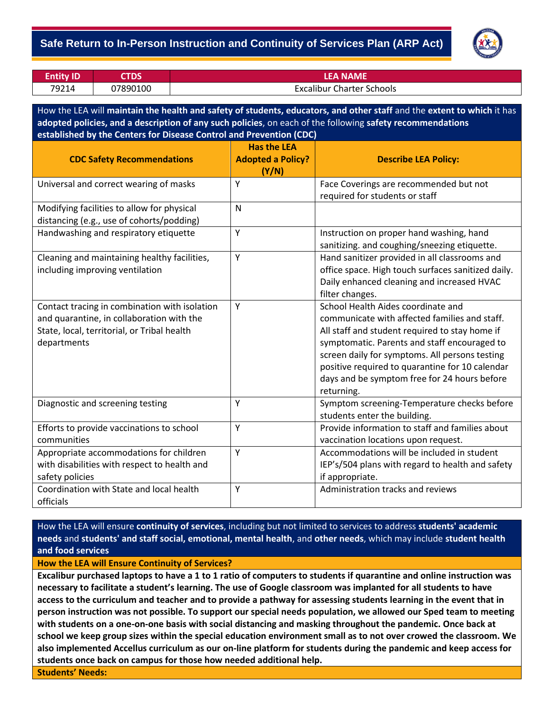## - **Safe Return to In-Person Instruction and Continuity of Services Plan (ARP Act)**



| <b>Entity ID</b> | TDS      | LFA NAMF                         |
|------------------|----------|----------------------------------|
| 79214            | 07890100 | <b>Excalibur Charter Schools</b> |

How the LEA will **maintain the health and safety of students, educators, and other staff** and the **extent to which** it has **adopted policies, and a description of any such policies**, on each of the following **safety recommendations established by the Centers for Disease Control and Prevention (CDC)**

| <b>CDC Safety Recommendations</b>             | <b>Has the LEA</b><br><b>Adopted a Policy?</b> | <b>Describe LEA Policy:</b>                        |
|-----------------------------------------------|------------------------------------------------|----------------------------------------------------|
|                                               | (Y/N)                                          |                                                    |
| Universal and correct wearing of masks        | Y                                              | Face Coverings are recommended but not             |
|                                               |                                                | required for students or staff                     |
| Modifying facilities to allow for physical    | $\mathsf{N}$                                   |                                                    |
| distancing (e.g., use of cohorts/podding)     |                                                |                                                    |
| Handwashing and respiratory etiquette         | Y                                              | Instruction on proper hand washing, hand           |
|                                               |                                                | sanitizing. and coughing/sneezing etiquette.       |
| Cleaning and maintaining healthy facilities,  | Y                                              | Hand sanitizer provided in all classrooms and      |
| including improving ventilation               |                                                | office space. High touch surfaces sanitized daily. |
|                                               |                                                | Daily enhanced cleaning and increased HVAC         |
|                                               |                                                | filter changes.                                    |
| Contact tracing in combination with isolation | Y                                              | School Health Aides coordinate and                 |
| and quarantine, in collaboration with the     |                                                | communicate with affected families and staff.      |
| State, local, territorial, or Tribal health   |                                                | All staff and student required to stay home if     |
| departments                                   |                                                | symptomatic. Parents and staff encouraged to       |
|                                               |                                                | screen daily for symptoms. All persons testing     |
|                                               |                                                | positive required to quarantine for 10 calendar    |
|                                               |                                                | days and be symptom free for 24 hours before       |
|                                               |                                                | returning.                                         |
| Diagnostic and screening testing              | Υ                                              | Symptom screening-Temperature checks before        |
|                                               |                                                | students enter the building.                       |
| Efforts to provide vaccinations to school     | Y                                              | Provide information to staff and families about    |
| communities                                   |                                                | vaccination locations upon request.                |
| Appropriate accommodations for children       | Y                                              | Accommodations will be included in student         |
| with disabilities with respect to health and  |                                                | IEP's/504 plans with regard to health and safety   |
| safety policies                               |                                                | if appropriate.                                    |
| Coordination with State and local health      | Y                                              | Administration tracks and reviews                  |
| officials                                     |                                                |                                                    |

How the LEA will ensure **continuity of services**, including but not limited to services to address **students' academic needs** and **students' and staff social, emotional, mental health**, and **other needs**, which may include **student health and food services**

**How the LEA will Ensure Continuity of Services?**

**Excalibur purchased laptops to have a 1 to 1 ratio of computers to students if quarantine and online instruction was necessary to facilitate a student's learning. The use of Google classroom was implanted for all students to have access to the curriculum and teacher and to provide a pathway for assessing students learning in the event that in person instruction was not possible. To support our special needs population, we allowed our Sped team to meeting with students on a one-on-one basis with social distancing and masking throughout the pandemic. Once back at school we keep group sizes within the special education environment small as to not over crowed the classroom. We also implemented Accellus curriculum as our on-line platform for students during the pandemic and keep access for students once back on campus for those how needed additional help. Students' Needs:**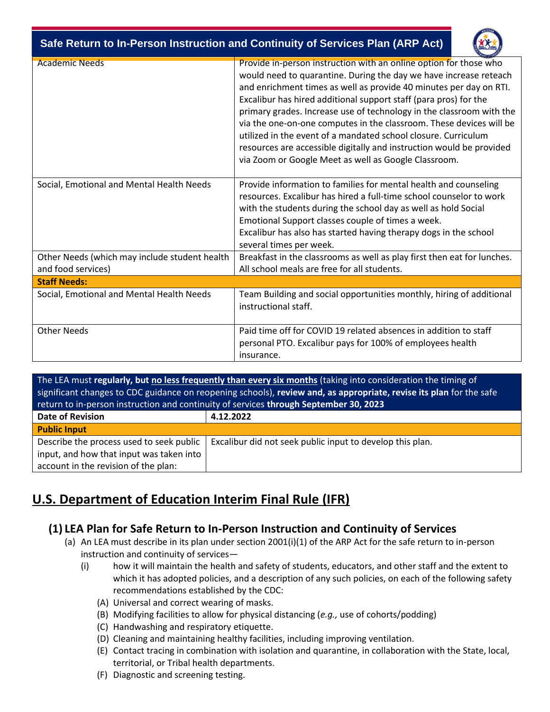| Safe Return to In-Person Instruction and Continuity of Services Plan (ARP Act) |                                                                                                                                                                                                                                                                                                                                                                                                                                                                                                                                                                                                                                   |  |  |  |
|--------------------------------------------------------------------------------|-----------------------------------------------------------------------------------------------------------------------------------------------------------------------------------------------------------------------------------------------------------------------------------------------------------------------------------------------------------------------------------------------------------------------------------------------------------------------------------------------------------------------------------------------------------------------------------------------------------------------------------|--|--|--|
| <b>Academic Needs</b>                                                          | Provide in-person instruction with an online option for those who<br>would need to quarantine. During the day we have increase reteach<br>and enrichment times as well as provide 40 minutes per day on RTI.<br>Excalibur has hired additional support staff (para pros) for the<br>primary grades. Increase use of technology in the classroom with the<br>via the one-on-one computes in the classroom. These devices will be<br>utilized in the event of a mandated school closure. Curriculum<br>resources are accessible digitally and instruction would be provided<br>via Zoom or Google Meet as well as Google Classroom. |  |  |  |
| Social, Emotional and Mental Health Needs                                      | Provide information to families for mental health and counseling<br>resources. Excalibur has hired a full-time school counselor to work<br>with the students during the school day as well as hold Social<br>Emotional Support classes couple of times a week.<br>Excalibur has also has started having therapy dogs in the school<br>several times per week.                                                                                                                                                                                                                                                                     |  |  |  |
| Other Needs (which may include student health<br>and food services)            | Breakfast in the classrooms as well as play first then eat for lunches.<br>All school meals are free for all students.                                                                                                                                                                                                                                                                                                                                                                                                                                                                                                            |  |  |  |
| <b>Staff Needs:</b>                                                            |                                                                                                                                                                                                                                                                                                                                                                                                                                                                                                                                                                                                                                   |  |  |  |
| Social, Emotional and Mental Health Needs                                      | Team Building and social opportunities monthly, hiring of additional<br>instructional staff.                                                                                                                                                                                                                                                                                                                                                                                                                                                                                                                                      |  |  |  |
| <b>Other Needs</b>                                                             | Paid time off for COVID 19 related absences in addition to staff<br>personal PTO. Excalibur pays for 100% of employees health<br>insurance.                                                                                                                                                                                                                                                                                                                                                                                                                                                                                       |  |  |  |

The LEA must **regularly, but no less frequently than every six months** (taking into consideration the timing of significant changes to CDC guidance on reopening schools), **review and, as appropriate, revise its plan** for the safe return to in-person instruction and continuity of services **through September 30, 2023 Date of Revision 4.12.2022 Public Input** Describe the process used to seek public input, and how that input was taken into account in the revision of the plan: Excalibur did not seek public input to develop this plan.

## **U.S. Department of Education Interim Final Rule (IFR)**

## **(1) LEA Plan for Safe Return to In-Person Instruction and Continuity of Services**

- (a) An LEA must describe in its plan under section 2001(i)(1) of the ARP Act for the safe return to in-person instruction and continuity of services—
	- (i) how it will maintain the health and safety of students, educators, and other staff and the extent to which it has adopted policies, and a description of any such policies, on each of the following safety recommendations established by the CDC:
		- (A) Universal and correct wearing of masks.
		- (B) Modifying facilities to allow for physical distancing (*e.g.,* use of cohorts/podding)
		- (C) Handwashing and respiratory etiquette.
		- (D) Cleaning and maintaining healthy facilities, including improving ventilation.
		- (E) Contact tracing in combination with isolation and quarantine, in collaboration with the State, local, territorial, or Tribal health departments.
		- (F) Diagnostic and screening testing.